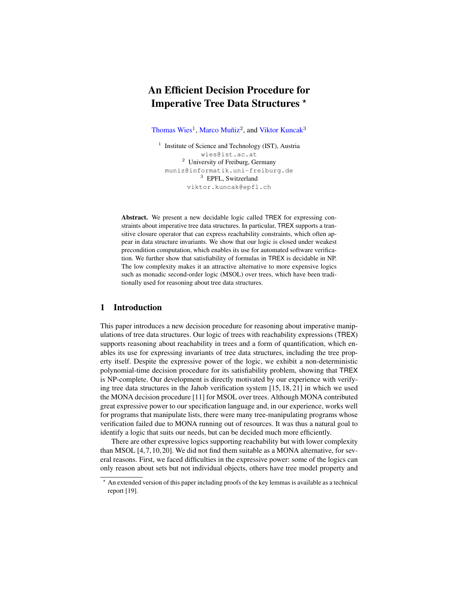# An Efficient Decision Procedure for Imperative Tree Data Structures \*

[Thomas Wies](http://ist.ac.at/~wies)<sup>1</sup>, Marco Muñiz<sup>2</sup>, and [Viktor Kuncak](http://lara.epfl.ch/~kuncak)<sup>3</sup>

<sup>1</sup> Institute of Science and Technology (IST), Austria wies@ist.ac.at <sup>2</sup> University of Freiburg, Germany muniz@informatik.uni-freiburg.de <sup>3</sup> EPFL, Switzerland viktor.kuncak@epfl.ch

Abstract. We present a new decidable logic called TREX for expressing constraints about imperative tree data structures. In particular, TREX supports a transitive closure operator that can express reachability constraints, which often appear in data structure invariants. We show that our logic is closed under weakest precondition computation, which enables its use for automated software verification. We further show that satisfiability of formulas in TREX is decidable in NP. The low complexity makes it an attractive alternative to more expensive logics such as monadic second-order logic (MSOL) over trees, which have been traditionally used for reasoning about tree data structures.

# 1 Introduction

This paper introduces a new decision procedure for reasoning about imperative manipulations of tree data structures. Our logic of trees with reachability expressions (TREX) supports reasoning about reachability in trees and a form of quantification, which enables its use for expressing invariants of tree data structures, including the tree property itself. Despite the expressive power of the logic, we exhibit a non-deterministic polynomial-time decision procedure for its satisfiability problem, showing that TREX is NP-complete. Our development is directly motivated by our experience with verifying tree data structures in the Jahob verification system [15, 18, 21] in which we used the MONA decision procedure [11] for MSOL over trees. Although MONA contributed great expressive power to our specification language and, in our experience, works well for programs that manipulate lists, there were many tree-manipulating programs whose verification failed due to MONA running out of resources. It was thus a natural goal to identify a logic that suits our needs, but can be decided much more efficiently.

There are other expressive logics supporting reachability but with lower complexity than MSOL [4,7,10,20]. We did not find them suitable as a MONA alternative, for several reasons. First, we faced difficulties in the expressive power: some of the logics can only reason about sets but not individual objects, others have tree model property and

<sup>?</sup> An extended version of this paper including proofs of the key lemmas is available as a technical report [19].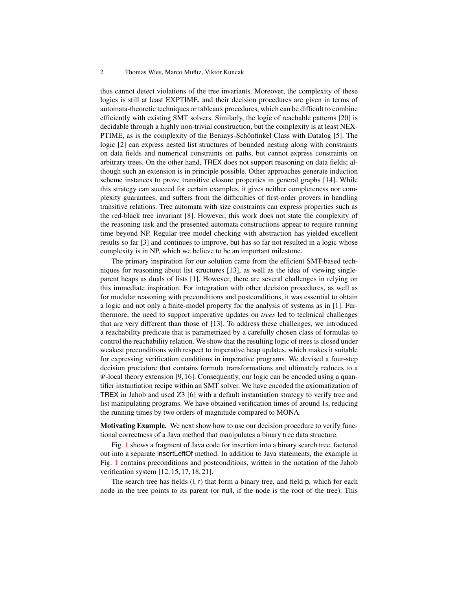thus cannot detect violations of the tree invariants. Moreover, the complexity of these logics is still at least EXPTIME, and their decision procedures are given in terms of automata-theoretic techniques or tableaux procedures, which can be difficult to combine efficiently with existing SMT solvers. Similarly, the logic of reachable patterns [20] is decidable through a highly non-trivial construction, but the complexity is at least NEX-PTIME, as is the complexity of the Bernays-Schönfinkel Class with Datalog [5]. The logic [2] can express nested list structures of bounded nesting along with constraints on data fields and numerical constraints on paths, but cannot express constraints on arbitrary trees. On the other hand, TREX does not support reasoning on data fields; although such an extension is in principle possible. Other approaches generate induction scheme instances to prove transitive closure properties in general graphs [14]. While this strategy can succeed for certain examples, it gives neither completeness nor complexity guarantees, and suffers from the difficulties of first-order provers in handling transitive relations. Tree automata with size constraints can express properties such as the red-black tree invariant [8]. However, this work does not state the complexity of the reasoning task and the presented automata constructions appear to require running time beyond NP. Regular tree model checking with abstraction has yielded excellent results so far [3] and continues to improve, but has so far not resulted in a logic whose complexity is in NP, which we believe to be an important milestone.

The primary inspiration for our solution came from the efficient SMT-based techniques for reasoning about list structures [13], as well as the idea of viewing singleparent heaps as duals of lists [1]. However, there are several challenges in relying on this immediate inspiration. For integration with other decision procedures, as well as for modular reasoning with preconditions and postconditions, it was essential to obtain a logic and not only a finite-model property for the analysis of systems as in [1]. Furthermore, the need to support imperative updates on *trees* led to technical challenges that are very different than those of [13]. To address these challenges, we introduced a reachability predicate that is parametrized by a carefully chosen class of formulas to control the reachability relation. We show that the resulting logic of trees is closed under weakest preconditions with respect to imperative heap updates, which makes it suitable for expressing verification conditions in imperative programs. We devised a four-step decision procedure that contains formula transformations and ultimately reduces to a  $\Psi$ -local theory extension [9, 16]. Consequently, our logic can be encoded using a quantifier instantiation recipe within an SMT solver. We have encoded the axiomatization of TREX in Jahob and used Z3 [6] with a default instantiation strategy to verify tree and list manipulating programs. We have obtained verification times of around 1s, reducing the running times by two orders of magnitude compared to MONA.

Motivating Example. We next show how to use our decision procedure to verify functional correctness of a Java method that manipulates a binary tree data structure.

Fig. [1](#page-2-0) shows a fragment of Java code for insertion into a binary search tree, factored out into a separate insertLeftOf method. In addition to Java statements, the example in Fig. [1](#page-2-0) contains preconditions and postconditions, written in the notation of the Jahob verification system [12, 15, 17, 18, 21].

The search tree has fields (l, r) that form a binary tree, and field p, which for each node in the tree points to its parent (or null, if the node is the root of the tree). This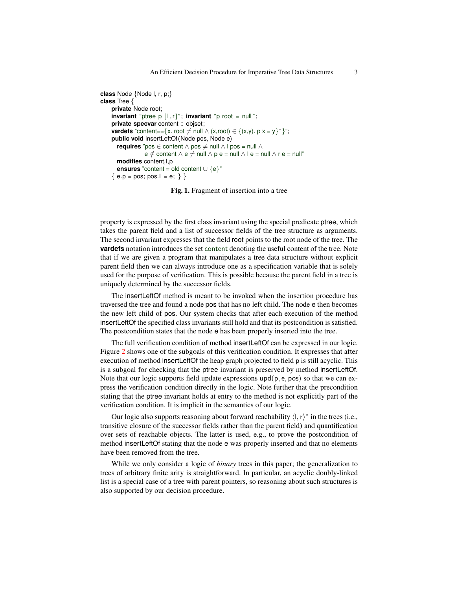```
class Node {Node l, r, p;}
class Tree {
    private Node root;
    invariant "ptree p \in [1, r]"; invariant "p root = null";
    private specvar content :: objset;
     vardefs "content=={x. root \neq null \wedge (x,root) \in {(x,y). p x = y}<sup>*</sup>}";
    public void insertLeftOf (Node pos, Node e)
       requires "pos \in content \land pos \neq null \land l pos = null \lande \notin content \wedge e \neq null \wedge p e = null \wedge l e = null \wedge r e = null"
       modifies content,l,p
       ensures "content = old content \cup {e}"
    { e.p = pos; pos. l = e; }
```
<span id="page-2-0"></span>Fig. 1. Fragment of insertion into a tree

property is expressed by the first class invariant using the special predicate ptree, which takes the parent field and a list of successor fields of the tree structure as arguments. The second invariant expresses that the field root points to the root node of the tree. The **vardefs** notation introduces the set content denoting the useful content of the tree. Note that if we are given a program that manipulates a tree data structure without explicit parent field then we can always introduce one as a specification variable that is solely used for the purpose of verification. This is possible because the parent field in a tree is uniquely determined by the successor fields.

The insertLeftOf method is meant to be invoked when the insertion procedure has traversed the tree and found a node pos that has no left child. The node e then becomes the new left child of pos. Our system checks that after each execution of the method insertLeftOf the specified class invariants still hold and that its postcondition is satisfied. The postcondition states that the node e has been properly inserted into the tree.

The full verification condition of method insertLeftOf can be expressed in our logic. Figure [2](#page-3-0) shows one of the subgoals of this verification condition. It expresses that after execution of method insertLeftOf the heap graph projected to field p is still acyclic. This is a subgoal for checking that the ptree invariant is preserved by method insertLeftOf. Note that our logic supports field update expressions  $\text{upd}(p, e, pos)$  so that we can express the verification condition directly in the logic. Note further that the precondition stating that the ptree invariant holds at entry to the method is not explicitly part of the verification condition. It is implicit in the semantics of our logic.

Our logic also supports reasoning about forward reachability  $\langle I, r \rangle^*$  in the trees (i.e., transitive closure of the successor fields rather than the parent field) and quantification over sets of reachable objects. The latter is used, e.g., to prove the postcondition of method insertLeftOf stating that the node e was properly inserted and that no elements have been removed from the tree.

While we only consider a logic of *binary* trees in this paper; the generalization to trees of arbitrary finite arity is straightforward. In particular, an acyclic doubly-linked list is a special case of a tree with parent pointers, so reasoning about such structures is also supported by our decision procedure.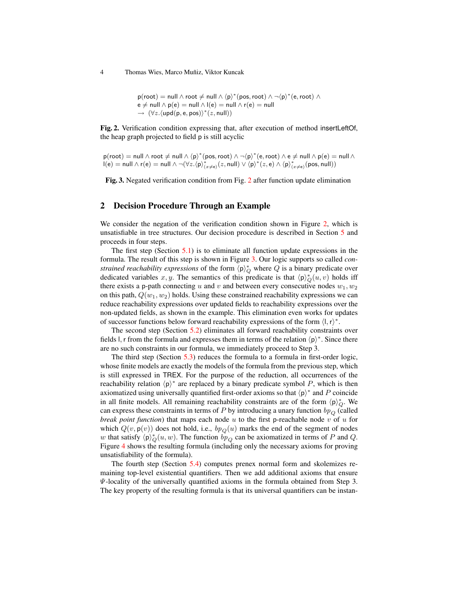$p(root) = null \land root \neq null \land \langle p \rangle^*(pos,root) \land \neg \langle p \rangle^*(e,root) \land \neg \langle p \rangle^*(e,root)$ e  $\neq$  null ∧ p(e) = null ∧ l(e) = null ∧ r(e) = null  $\rightarrow (\forall z. \langle \text{upd}(p, e, pos) \rangle^*(z, null))$ 

<span id="page-3-0"></span>Fig. 2. Verification condition expressing that, after execution of method insertLeftOf, the heap graph projected to field p is still acyclic

 $p(root) = null \land root \neq null \land (p)^*(pos,root) \land \neg (p)^*(e,root) \land e \neq null \land p(e) = null \land p(e)$  $I(e) = null \wedge r(e) = null \wedge \neg (\forall z. \langle p \rangle_{(x \neq e)}^* (z, null) \vee \langle p \rangle^* (z, e) \wedge \langle p \rangle_{(x \neq e)}^* (pos, null))$ 

<span id="page-3-1"></span>Fig. 3. Negated verification condition from Fig. [2](#page-3-0) after function update elimination

## 2 Decision Procedure Through an Example

We consider the negation of the verification condition shown in Figure [2,](#page-3-0) which is unsatisfiable in tree structures. Our decision procedure is described in Section [5](#page-8-0) and proceeds in four steps.

The first step (Section [5.1\)](#page-8-1) is to eliminate all function update expressions in the formula. The result of this step is shown in Figure [3.](#page-3-1) Our logic supports so called *constrained reachability expressions* of the form  $\langle p \rangle_Q^*$  where  $Q$  is a binary predicate over dedicated variables x, y. The semantics of this predicate is that  $\langle \mathsf{p} \rangle_Q^*(u, v)$  holds iff there exists a p-path connecting u and v and between every consecutive nodes  $w_1, w_2$ on this path,  $Q(w_1, w_2)$  holds. Using these constrained reachability expressions we can reduce reachability expressions over updated fields to reachability expressions over the non-updated fields, as shown in the example. This elimination even works for updates of successor functions below forward reachability expressions of the form  $\langle l, r \rangle^*$ .

The second step (Section [5.2\)](#page-9-0) eliminates all forward reachability constraints over fields l, r from the formula and expresses them in terms of the relation  $\langle p \rangle^*$ . Since there are no such constraints in our formula, we immediately proceed to Step 3.

The third step (Section [5.3\)](#page-9-1) reduces the formula to a formula in first-order logic, whose finite models are exactly the models of the formula from the previous step, which is still expressed in TREX. For the purpose of the reduction, all occurrences of the reachability relation  $\langle p \rangle^*$  are replaced by a binary predicate symbol P, which is then axiomatized using universally quantified first-order axioms so that  $\langle p \rangle^*$  and P coincide in all finite models. All remaining reachability constraints are of the form  $\langle p \rangle_Q^*$ . We can express these constraints in terms of P by introducing a unary function  $bp<sub>O</sub>$  (called *break point function*) that maps each node u to the first p-reachable node v of u for which  $Q(v, p(v))$  does not hold, i.e.,  $bp_Q(u)$  marks the end of the segment of nodes w that satisfy  $\langle \mathsf{p} \rangle_Q^*(u, w)$ . The function  $b p_Q$  can be axiomatized in terms of P and Q. Figure [4](#page-4-0) shows the resulting formula (including only the necessary axioms for proving unsatisfiability of the formula).

The fourth step (Section [5.4\)](#page-10-0) computes prenex normal form and skolemizes remaining top-level existential quantifiers. Then we add additional axioms that ensure Ψ-locality of the universally quantified axioms in the formula obtained from Step 3. The key property of the resulting formula is that its universal quantifiers can be instan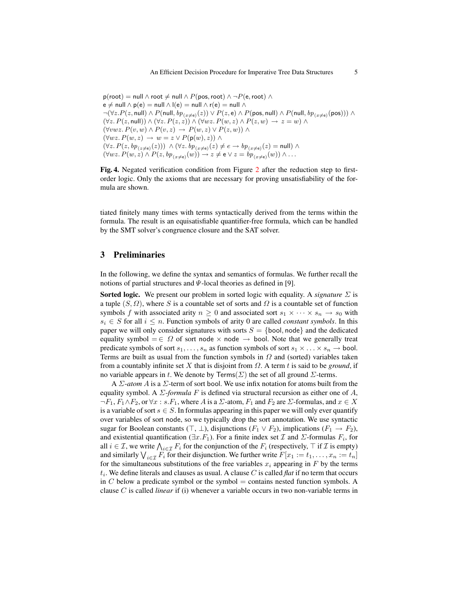$p(root) = null \land root \neq null \land P(pos,root) \land \neg P(e,root) \land \neg P(e,root)$  $e \neq null \wedge p(e) = null \wedge l(e) = null \wedge r(e) = null \wedge$  $\neg(\forall z.P(z, \mathsf{null}) \wedge P(\mathsf{null}, \mathit{bp}_{(x \neq \mathsf{e})}(z)) \vee P(z, \mathsf{e}) \wedge P(\mathsf{pos}, \mathsf{null}) \wedge P(\mathsf{null}, \mathit{bp}_{(x \neq \mathsf{e})}(\mathsf{pos}))) \wedge$  $(\forall z. P(z, \text{null})) \land (\forall z. P(z, z)) \land (\forall wz. P(w, z) \land P(z, w) \rightarrow z = w) \land$  $(\forall v \, x \ldotp P(v, w) \land P(v, z) \rightarrow P(w, z) \lor P(z, w))$  $(\forall wz. P(w, z) \rightarrow w = z \vee P(\mathsf{p}(w), z))$  ∧  $(\forall z. P(z, b p_{(z \neq e)}(z))) \land (\forall z. b p_{(x \neq e)}(z) \neq e \rightarrow b p_{(x \neq e)}(z) = \mathsf{null}) \land$  $(\forall wz. P(w, z) \land P(z, bp_{(x\neq e)}(w)) \rightarrow z \neq e \lor z = bp_{(x\neq e)}(w)) \land \dots$ 

<span id="page-4-0"></span>Fig. 4. Negated verification condition from Figure [2](#page-3-0) after the reduction step to firstorder logic. Only the axioms that are necessary for proving unsatisfiability of the formula are shown.

tiated finitely many times with terms syntactically derived from the terms within the formula. The result is an equisatisfiable quantifier-free formula, which can be handled by the SMT solver's congruence closure and the SAT solver.

# <span id="page-4-1"></span>3 Preliminaries

In the following, we define the syntax and semantics of formulas. We further recall the notions of partial structures and  $\Psi$ -local theories as defined in [9].

**Sorted logic.** We present our problem in sorted logic with equality. A *signature*  $\Sigma$  is a tuple  $(S, \Omega)$ , where S is a countable set of sorts and  $\Omega$  is a countable set of function symbols f with associated arity  $n \geq 0$  and associated sort  $s_1 \times \cdots \times s_n \to s_0$  with  $s_i \in S$  for all  $i \leq n$ . Function symbols of arity 0 are called *constant symbols*. In this paper we will only consider signatures with sorts  $S = \{ \text{bool}, \text{node} \}$  and the dedicated equality symbol  $= \in \Omega$  of sort node  $\times$  node  $\rightarrow$  bool. Note that we generally treat predicate symbols of sort  $s_1, \ldots, s_n$  as function symbols of sort  $s_1 \times \ldots \times s_n \to$  bool. Terms are built as usual from the function symbols in  $\Omega$  and (sorted) variables taken from a countably infinite set X that is disjoint from Ω. A term t is said to be *ground*, if no variable appears in t. We denote by Terms( $\Sigma$ ) the set of all ground  $\Sigma$ -terms.

A Σ-*atom* A is a Σ-term of sort bool. We use infix notation for atoms built from the equality symbol. A  $\Sigma$ -*formula* F is defined via structural recursion as either one of A,  $\neg F_1, F_1 \wedge F_2$ , or  $\forall x : s.F_1$ , where A is a  $\Sigma$ -atom,  $F_1$  and  $F_2$  are  $\Sigma$ -formulas, and  $x \in X$ is a variable of sort  $s \in S$ . In formulas appearing in this paper we will only ever quantify over variables of sort node, so we typically drop the sort annotation. We use syntactic sugar for Boolean constants ( $\top$ ,  $\bot$ ), disjunctions ( $F_1 \lor F_2$ ), implications ( $F_1 \rightarrow F_2$ ), and existential quantification ( $\exists x . F_1$ ). For a finite index set  $\mathcal I$  and  $\Sigma$ -formulas  $F_i$ , for all  $i \in \mathcal{I}$ , we write  $\bigwedge_{i \in \mathcal{I}} F_i$  for the conjunction of the  $F_i$  (respectively,  $\top$  if  $\mathcal{I}$  is empty) and similarly  $\bigvee_{i \in \mathcal{I}} F_i$  for their disjunction. We further write  $F[x_1 := t_1, \ldots, x_n := t_n]$ for the simultaneous substitutions of the free variables  $x_i$  appearing in F by the terms  $t_i$ . We define literals and clauses as usual. A clause  $C$  is called *flat* if no term that occurs in  $C$  below a predicate symbol or the symbol  $=$  contains nested function symbols. A clause C is called *linear* if (i) whenever a variable occurs in two non-variable terms in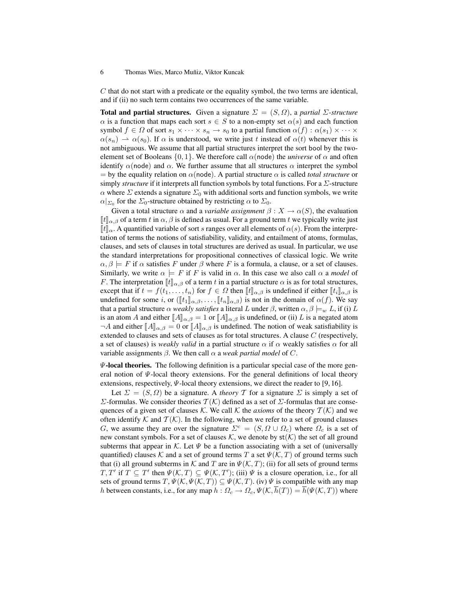$C$  that do not start with a predicate or the equality symbol, the two terms are identical, and if (ii) no such term contains two occurrences of the same variable.

Total and partial structures. Given a signature  $\Sigma = (S, \Omega)$ , a *partial*  $\Sigma$ -structure  $\alpha$  is a function that maps each sort  $s \in S$  to a non-empty set  $\alpha(s)$  and each function symbol  $f \in \Omega$  of sort  $s_1 \times \cdots \times s_n \to s_0$  to a partial function  $\alpha(f) : \alpha(s_1) \times \cdots \times \alpha(s_n)$  $\alpha(s_n) \to \alpha(s_0)$ . If  $\alpha$  is understood, we write just t instead of  $\alpha(t)$  whenever this is not ambiguous. We assume that all partial structures interpret the sort bool by the twoelement set of Booleans  $\{0, 1\}$ . We therefore call  $\alpha$  (node) the *universe* of  $\alpha$  and often identify  $\alpha$ (node) and  $\alpha$ . We further assume that all structures  $\alpha$  interpret the symbol  $=$  by the equality relation on  $\alpha$ (node). A partial structure  $\alpha$  is called *total structure* or simply *structure* if it interprets all function symbols by total functions. For a Σ-structure  $\alpha$  where  $\Sigma$  extends a signature  $\Sigma_0$  with additional sorts and function symbols, we write  $\alpha|_{\Sigma_0}$  for the  $\Sigma_0$ -structure obtained by restricting  $\alpha$  to  $\Sigma_0$ .

Given a total structure  $\alpha$  and a *variable assignment*  $\beta : X \to \alpha(S)$ , the evaluation  $[[t]]_{\alpha,\beta}$  of a term t in  $\alpha,\beta$  is defined as usual. For a ground term t we typically write just  $\llbracket t \rrbracket_{\alpha}$ . A quantified variable of sort s ranges over all elements of  $\alpha(s)$ . From the interpretation of terms the notions of satisfiability, validity, and entailment of atoms, formulas, clauses, and sets of clauses in total structures are derived as usual. In particular, we use the standard interpretations for propositional connectives of classical logic. We write  $\alpha, \beta \models F$  if  $\alpha$  satisfies F under  $\beta$  where F is a formula, a clause, or a set of clauses. Similarly, we write  $\alpha \models F$  if F is valid in  $\alpha$ . In this case we also call  $\alpha$  a *model* of F. The interpretation  $[\![t]\!]_{\alpha,\beta}$  of a term t in a partial structure  $\alpha$  is as for total structures, except that if  $t = f(t_1, \ldots, t_n)$  for  $f \in \Omega$  then  $[[t]]_{\alpha, \beta}$  is undefined if either  $[[t_i]]_{\alpha, \beta}$  is undefined for some i, or  $(\llbracket t_1 \rrbracket_{\alpha,\beta}, \ldots, \llbracket t_n \rrbracket_{\alpha,\beta})$  is not in the domain of  $\alpha(f)$ . We say that a partial structure  $\alpha$  *weakly satisfies* a literal L under  $\beta$ , written  $\alpha$ ,  $\beta \models_w L$ , if (i) L is an atom A and either  $[\![A]\!]_{\alpha,\beta} = 1$  or  $[\![A]\!]_{\alpha,\beta}$  is undefined, or (ii) L is a negated atom  $\neg A$  and either  $\llbracket A \rrbracket_{\alpha,\beta} = 0$  or  $\llbracket A \rrbracket_{\alpha,\beta}$  is undefined. The notion of weak satisfiability is extended to clauses and sets of clauses as for total structures. A clause C (respectively, a set of clauses) is *weakly valid* in a partial structure  $\alpha$  if  $\alpha$  weakly satisfies  $\alpha$  for all variable assignments β. We then call α a *weak partial model* of C.

 $\Psi$ -local theories. The following definition is a particular special case of the more general notion of  $\Psi$ -local theory extensions. For the general definitions of local theory extensions, respectively,  $\Psi$ -local theory extensions, we direct the reader to [9, 16].

Let  $\Sigma = (S, \Omega)$  be a signature. A *theory* T for a signature  $\Sigma$  is simply a set of Σ-formulas. We consider theories  $\mathcal{T}(\mathcal{K})$  defined as a set of Σ-formulas that are consequences of a given set of clauses K. We call K the *axioms* of the theory  $T(K)$  and we often identify K and  $T(K)$ . In the following, when we refer to a set of ground clauses G, we assume they are over the signature  $\Sigma^c = (S, \Omega \cup \Omega_c)$  where  $\Omega_c$  is a set of new constant symbols. For a set of clauses  $\mathcal{K}$ , we denote by  $st(\mathcal{K})$  the set of all ground subterms that appear in K. Let  $\Psi$  be a function associating with a set of (universally quantified) clauses K and a set of ground terms T a set  $\Psi(K,T)$  of ground terms such that (i) all ground subterms in K and T are in  $\Psi(\mathcal{K}, T)$ ; (ii) for all sets of ground terms  $T, T'$  if  $T \subseteq T'$  then  $\Psi(\mathcal{K}, T) \subseteq \Psi(\mathcal{K}, T')$ ; (iii)  $\Psi$  is a closure operation, i.e., for all sets of ground terms  $T, \Psi(K, \Psi(K, T)) \subseteq \Psi(K, T)$ . (iv)  $\Psi$  is compatible with any map h between constants, i.e., for any map  $h: \Omega_c \to \Omega_c$ ,  $\Psi(\mathcal{K}, \overline{h}(T)) = \overline{h}(\Psi(\mathcal{K}, T))$  where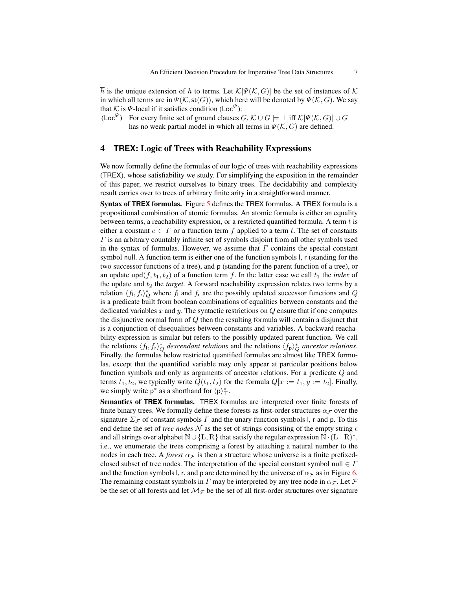h is the unique extension of h to terms. Let  $\mathcal{K}[\Psi(\mathcal{K}, G)]$  be the set of instances of  $\mathcal K$ in which all terms are in  $\Psi(\mathcal{K},\mathsf{st}(G))$ , which here will be denoted by  $\Psi(\mathcal{K},G)$ . We say that K is  $\Psi$ -local if it satisfies condition (Loc<sup> $\Psi$ </sup>):

(Loc<sup> $\Psi$ </sup>) For every finite set of ground clauses  $G, K \cup G \models \bot$  iff  $\mathcal{K}[\Psi(\mathcal{K}, G)] \cup G$ has no weak partial model in which all terms in  $\Psi$ ( $K$ ,  $G$ ) are defined.

# 4 **TREX**: Logic of Trees with Reachability Expressions

We now formally define the formulas of our logic of trees with reachability expressions (TREX), whose satisfiability we study. For simplifying the exposition in the remainder of this paper, we restrict ourselves to binary trees. The decidability and complexity result carries over to trees of arbitrary finite arity in a straightforward manner.

Syntax of **TREX** formulas. Figure [5](#page-7-0) defines the TREX formulas. A TREX formula is a propositional combination of atomic formulas. An atomic formula is either an equality between terms, a reachability expression, or a restricted quantified formula. A term t is either a constant  $c \in \Gamma$  or a function term f applied to a term t. The set of constants  $\Gamma$  is an arbitrary countably infinite set of symbols disjoint from all other symbols used in the syntax of formulas. However, we assume that  $\Gamma$  contains the special constant symbol null. A function term is either one of the function symbols l, r (standing for the two successor functions of a tree), and p (standing for the parent function of a tree), or an update upd $(f, t_1, t_2)$  of a function term f. In the latter case we call  $t_1$  the *index* of the update and  $t_2$  the *target*. A forward reachability expression relates two terms by a relation  $\langle f_1, f_1 \rangle_Q^*$  where  $f_1$  and  $f_r$  are the possibly updated successor functions and Q is a predicate built from boolean combinations of equalities between constants and the dedicated variables  $x$  and  $y$ . The syntactic restrictions on  $Q$  ensure that if one computes the disjunctive normal form of  $Q$  then the resulting formula will contain a disjunct that is a conjunction of disequalities between constants and variables. A backward reachability expression is similar but refers to the possibly updated parent function. We call the relations  $\langle f_1, f_r \rangle_Q^*$  *descendant relations* and the relations  $\langle f_p \rangle_Q^*$  *ancestor relations.* Finally, the formulas below restricted quantified formulas are almost like TREX formulas, except that the quantified variable may only appear at particular positions below function symbols and only as arguments of ancestor relations. For a predicate Q and terms  $t_1, t_2$ , we typically write  $Q(t_1, t_2)$  for the formula  $Q[x := t_1, y := t_2]$ . Finally, we simply write  $p^*$  as a shorthand for  $\langle p \rangle^*$ .

Semantics of **TREX** formulas. TREX formulas are interpreted over finite forests of finite binary trees. We formally define these forests as first-order structures  $\alpha_{\mathcal{F}}$  over the signature  $\Sigma_{\mathcal{F}}$  of constant symbols  $\Gamma$  and the unary function symbols l, r and p. To this end define the set of *tree nodes*  $N$  as the set of strings consisting of the empty string  $\epsilon$ and all strings over alphabet  $\mathbb{N} \cup \{L, R\}$  that satisfy the regular expression  $\mathbb{N} \cdot (L \mid R)^*$ , i.e., we enumerate the trees comprising a forest by attaching a natural number to the nodes in each tree. A *forest*  $\alpha_{\mathcal{F}}$  is then a structure whose universe is a finite prefixedclosed subset of tree nodes. The interpretation of the special constant symbol null  $\in \Gamma$ and the function symbols l, r, and p are determined by the universe of  $\alpha_{\mathcal{F}}$  as in Figure [6.](#page-7-1) The remaining constant symbols in  $\Gamma$  may be interpreted by any tree node in  $\alpha_{\mathcal{F}}$ . Let  $\mathcal F$ be the set of all forests and let  $\mathcal{M}_{\mathcal{F}}$  be the set of all first-order structures over signature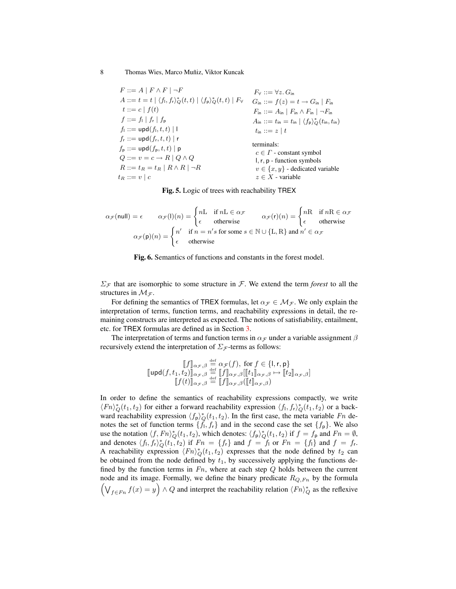$F ::= A \mid F \wedge F \mid \neg F$  $A ::= t = t | \langle f_1, f_r \rangle_Q^*(t, t) | \langle f_p \rangle_Q^*(t, t) | F_{\forall}$   $G_{\text{in}} ::= f(z) = t \rightarrow G_{\text{in}} | F_{\text{in}}$  $t ::= c | f(t)$  $f ::= f_1 | f_r | f_p$  $f_1 ::= \text{upd}(f_1, t, t) | 1$  $f_r ::= \text{upd}(f_r, t, t) | r$  $f_p ::= \text{upd}(f_p, t, t) | p$  $Q ::= v = c \rightarrow R \mid Q \land Q$  $R ::= t_R = t_R | R \wedge R | \neg R$  $t_R ::= v \mid c$  $F_{\forall} ::= \forall z. G_{\text{in}}$  $F_{\text{in}} ::= A_{\text{in}} | F_{\text{in}} \wedge F_{\text{in}} | \neg F_{\text{in}}$  $A_{\text{in}} ::= t_{\text{in}} = t_{\text{in}} \mid \langle f_{\text{p}} \rangle_{Q}^{*}(t_{\text{in}}, t_{\text{in}})$  $t_{\text{in}} ::= z \mid t$ terminals:  $c \in \Gamma$  - constant symbol l,r, p - function symbols  $v \in \{x, y\}$  - dedicated variable  $z \in X$  - variable

<span id="page-7-0"></span>Fig. 5. Logic of trees with reachability TREX

$$
\alpha_{\mathcal{F}}(\text{null}) = \epsilon \qquad \alpha_{\mathcal{F}}(I)(n) = \begin{cases} n\mathbf{L} & \text{if } n\mathbf{L} \in \alpha_{\mathcal{F}} \\ \epsilon & \text{otherwise} \end{cases} \qquad \alpha_{\mathcal{F}}(\mathbf{r})(n) = \begin{cases} n\mathbf{R} & \text{if } n\mathbf{R} \in \alpha_{\mathcal{F}} \\ \epsilon & \text{otherwise} \end{cases}
$$
\n
$$
\alpha_{\mathcal{F}}(\mathbf{p})(n) = \begin{cases} n' & \text{if } n = n's \text{ for some } s \in \mathbb{N} \cup \{\mathbf{L}, \mathbf{R}\} \text{ and } n' \in \alpha_{\mathcal{F}} \\ \epsilon & \text{otherwise} \end{cases}
$$

<span id="page-7-1"></span>

 $\Sigma$ <sub>F</sub> that are isomorphic to some structure in F. We extend the term *forest* to all the structures in  $\mathcal{M}_{\mathcal{F}}$ .

For defining the semantics of TREX formulas, let  $\alpha_{\mathcal{F}} \in \mathcal{M}_{\mathcal{F}}$ . We only explain the interpretation of terms, function terms, and reachability expressions in detail, the remaining constructs are interpreted as expected. The notions of satisfiability, entailment, etc. for TREX formulas are defined as in Section [3.](#page-4-1)

The interpretation of terms and function terms in  $\alpha_{\mathcal{F}}$  under a variable assignment  $\beta$ recursively extend the interpretation of  $\Sigma_f$ -terms as follows:

$$
\begin{array}{c}\n[\![f]\!]_{\alpha_{\mathcal{F}},\beta} \stackrel{\text{def}}{=} \alpha_{\mathcal{F}}(f), \text{ for } f \in \{1,r,p\} \\
[\![\mathsf{upd}(f,t_1,t_2)]\!]_{\alpha_{\mathcal{F}},\beta} \stackrel{\text{def}}{=} [\![f]\!]_{\alpha_{\mathcal{F}},\beta}[[\![t_1]\!]_{\alpha_{\mathcal{F}},\beta} \mapsto [\![t_2]\!]_{\alpha_{\mathcal{F}},\beta}] \\
[\![\![f(t)]\!]_{\alpha_{\mathcal{F}},\beta} \stackrel{\text{def}}{=} [\![f]\!]_{\alpha_{\mathcal{F}},\beta}([\![t]\!]_{\alpha_{\mathcal{F}},\beta})\n\end{array}
$$

In order to define the semantics of reachability expressions compactly, we write  $\langle Fn\rangle_Q^*(t_1,t_2)$  for either a forward reachability expression  $\langle f_1, f_r\rangle_Q^*(t_1,t_2)$  or a backward reachability expression  $\langle f_p \rangle_Q^*(t_1, t_2)$ . In the first case, the meta variable Fn denotes the set of function terms  $\{f_1, f_r\}$  and in the second case the set  $\{f_p\}$ . We also use the notation  $\langle f, Fn\rangle_Q^*(t_1,t_2)$ , which denotes:  $\langle f_p \rangle_Q^*(t_1,t_2)$  if  $f = f_p$  and  $Fn = \emptyset$ , and denotes  $\langle f_1, f_r \rangle_Q^* (t_1, t_2)$  if  $Fn = \{f_r\}$  and  $f = f_1$  or  $Fn = \{f_1\}$  and  $f = f_r$ . A reachability expression  $\langle Fn\rangle^*_{Q}(t_1, t_2)$  expresses that the node defined by  $t_2$  can be obtained from the node defined by  $t_1$ , by successively applying the functions defined by the function terms in  $Fn$ , where at each step  $Q$  holds between the current node and its image. Formally, we define the binary predicate  $R_{Q,Fn}$  by the formula  $(\bigvee_{f\in F_n} f(x) = y) \wedge Q$  and interpret the reachability relation  $\langle F_n \rangle_Q^*$  as the reflexive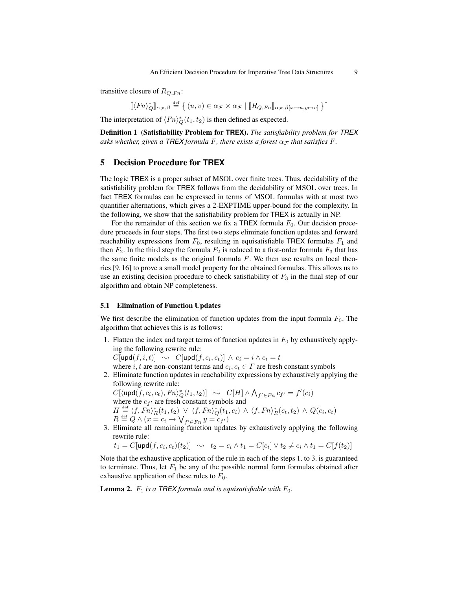transitive closure of  $R_{Q,Fn}$ :

$$
\llbracket \langle Fn\rangle_Q^*\rrbracket_{\alpha_{\mathcal{F}},\beta} \stackrel{\text{def}}{=} \left\{ (u,v) \in \alpha_{\mathcal{F}} \times \alpha_{\mathcal{F}} \mid \llbracket R_{Q,Fn} \rrbracket_{\alpha_{\mathcal{F}},\beta[x \mapsto u,y \mapsto v]} \right\}^*
$$

The interpretation of  $\langle Fn \rangle_Q^*(t_1, t_2)$  is then defined as expected.

Definition 1 (Satisfiability Problem for **TREX**). *The satisfiability problem for TREX asks whether, given a TREX formula* F, there exists a forest  $\alpha_{\mathcal{F}}$  that satisfies F.

## <span id="page-8-0"></span>5 Decision Procedure for **TREX**

The logic TREX is a proper subset of MSOL over finite trees. Thus, decidability of the satisfiability problem for TREX follows from the decidability of MSOL over trees. In fact TREX formulas can be expressed in terms of MSOL formulas with at most two quantifier alternations, which gives a 2-EXPTIME upper-bound for the complexity. In the following, we show that the satisfiability problem for TREX is actually in NP.

For the remainder of this section we fix a TREX formula  $F_0$ . Our decision procedure proceeds in four steps. The first two steps eliminate function updates and forward reachability expressions from  $F_0$ , resulting in equisatisfiable TREX formulas  $F_1$  and then  $F_2$ . In the third step the formula  $F_2$  is reduced to a first-order formula  $F_3$  that has the same finite models as the original formula  $F$ . We then use results on local theories [9, 16] to prove a small model property for the obtained formulas. This allows us to use an existing decision procedure to check satisfiability of  $F_3$  in the final step of our algorithm and obtain NP completeness.

## <span id="page-8-1"></span>5.1 Elimination of Function Updates

We first describe the elimination of function updates from the input formula  $F_0$ . The algorithm that achieves this is as follows:

1. Flatten the index and target terms of function updates in  $F_0$  by exhaustively applying the following rewrite rule:

 $C[\mathsf{upd}(f,i,t)] \ \ \sim \ \ C[\mathsf{upd}(f,c_i,c_t)] \ \wedge \ c_i = i \wedge c_t = t$ 

- where *i*, *t* are non-constant terms and  $c_i, c_t \in \Gamma$  are fresh constant symbols
- 2. Eliminate function updates in reachability expressions by exhaustively applying the following rewrite rule:

 $C[\langle \textsf{upd}(f,c_i,c_t),Fn \rangle_Q^*(t_1,t_2)] \ \ \leadsto \ \ C[H] \wedge \bigwedge_{f' \in Fn} c_{f'} = f'(c_i)$ where the  $c_{f'}$  are fresh constant symbols and  $H \stackrel{\text{def}}{=} \langle f, Fn \rangle_R^*(t_1, t_2) \ \vee \ \langle f, Fn \rangle_Q^*(t_1, c_i) \ \wedge \ \langle f, Fn \rangle_R^*(c_t, t_2) \ \wedge \ Q(c_i, c_t)$  $R \stackrel{\text{def}}{=} Q \wedge (x = c_i \rightarrow \bigvee_{f' \in F_n} y = c_{f'})$ 

3. Eliminate all remaining function updates by exhaustively applying the following rewrite rule:

 $t_1 = C[\mathsf{upd}(f, c_i, c_t)(t_2)] \ \ \leadsto \ \ t_2 = c_i \wedge t_1 = C[c_t] \vee t_2 \neq c_i \wedge t_1 = C[f(t_2)]$ 

Note that the exhaustive application of the rule in each of the steps 1. to 3. is guaranteed to terminate. Thus, let  $F_1$  be any of the possible normal form formulas obtained after exhaustive application of these rules to  $F_0$ .

**Lemma 2.**  $F_1$  *is a TREX formula and is equisatisfiable with*  $F_0$ *.*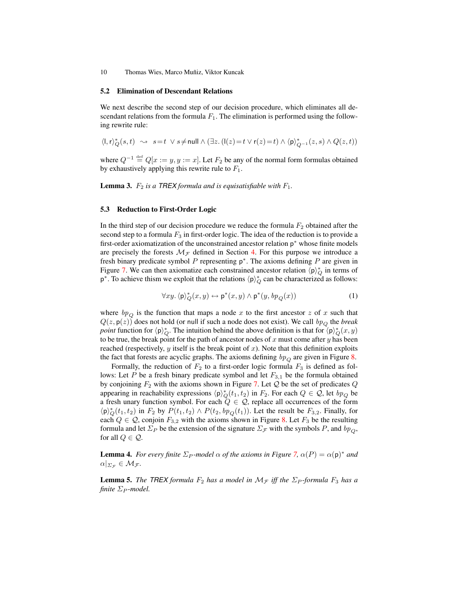#### <span id="page-9-0"></span>5.2 Elimination of Descendant Relations

We next describe the second step of our decision procedure, which eliminates all descendant relations from the formula  $F_1$ . The elimination is performed using the following rewrite rule:

$$
\langle \mathsf{I},\mathsf{r} \rangle_Q^*(s,t) \;\; \sim \;\; s\!=\!t \; \lor s\!\neq\!\mathsf{null} \land (\exists z.\,(\mathsf{I}(z)\!=\!t \lor \mathsf{r}(z)\!=\!t) \land \langle \mathsf{p} \rangle_{Q^{-1}}^*(z,s) \land Q(z,t))
$$

where  $Q^{-1} \stackrel{\text{def}}{=} Q[x := y, y := x]$ . Let  $F_2$  be any of the normal form formulas obtained by exhaustively applying this rewrite rule to  $F_1$ .

**Lemma 3.**  $F_2$  *is a TREX formula and is equisatisfiable with*  $F_1$ *.* 

#### <span id="page-9-1"></span>5.3 Reduction to First-Order Logic

In the third step of our decision procedure we reduce the formula  $F_2$  obtained after the second step to a formula  $F_3$  in first-order logic. The idea of the reduction is to provide a first-order axiomatization of the unconstrained ancestor relation p<sup>\*</sup> whose finite models are precisely the forests  $\mathcal{M}_{\mathcal{F}}$  defined in Section [4.](#page-7-0) For this purpose we introduce a fresh binary predicate symbol  $P$  representing  $p^*$ . The axioms defining  $P$  are given in Figure [7.](#page-10-1) We can then axiomatize each constrained ancestor relation  $\langle p \rangle_Q^*$  in terms of p<sup>\*</sup>. To achieve thism we exploit that the relations  $\langle p \rangle_Q^*$  can be characterized as follows:

$$
\forall xy. \langle \mathsf{p} \rangle_Q^*(x, y) \leftrightarrow \mathsf{p}^*(x, y) \land \mathsf{p}^*(y, bp_Q(x)) \tag{1}
$$

where  $bp<sub>O</sub>$  is the function that maps a node x to the first ancestor z of x such that  $Q(z, \mathbf{p}(z))$  does not hold (or null if such a node does not exist). We call  $bp_Q$  the *break point* function for  $\langle \mathsf{p} \rangle_Q^*$ . The intuition behind the above definition is that for  $\langle \mathsf{p} \rangle_Q^*(x, y)$ to be true, the break point for the path of ancestor nodes of  $x$  must come after  $y$  has been reached (respectively, y itself is the break point of x). Note that this definition exploits the fact that forests are acyclic graphs. The axioms defining  $bp<sub>O</sub>$  are given in Figure [8.](#page-10-2)

Formally, the reduction of  $F_2$  to a first-order logic formula  $F_3$  is defined as follows: Let P be a fresh binary predicate symbol and let  $F_{3,1}$  be the formula obtained by conjoining  $F_2$  with the axioms shown in Figure [7.](#page-10-1) Let  $\mathcal Q$  be the set of predicates  $Q$ appearing in reachability expressions  $\langle \mathsf{p} \rangle_Q^*(t_1, t_2)$  in  $F_2$ . For each  $Q \in \mathcal{Q}$ , let  $bp_Q$  be a fresh unary function symbol. For each  $Q \in \mathcal{Q}$ , replace all occurrences of the form  $\langle \mathsf{p} \rangle_Q^*(t_1, t_2)$  in  $F_2$  by  $P(t_1, t_2) \wedge P(t_2, bp_Q(t_1))$ . Let the result be  $F_{3,2}$ . Finally, for each  $Q \in \mathcal{Q}$ , conjoin  $F_{3,2}$  with the axioms shown in Figure [8.](#page-10-2) Let  $F_3$  be the resulting formula and let  $\Sigma_P$  be the extension of the signature  $\Sigma_{\mathcal{F}}$  with the symbols P, and  $bp_O$ , for all  $Q \in \mathcal{Q}$ .

**Lemma 4.** *For every finite*  $\Sigma_P$ *-model*  $\alpha$  *of the axioms in Figure* [7,](#page-10-1)  $\alpha(P) = \alpha(\mathsf{p})^*$  *and*  $\alpha|_{\Sigma_{\mathcal{F}}} \in \mathcal{M}_{\mathcal{F}}$ *.* 

**Lemma 5.** *The TREX formula*  $F_2$  *has a model in*  $M_F$  *iff the*  $\Sigma_P$ *-formula*  $F_3$  *has a finite*  $\Sigma_P$ *-model.*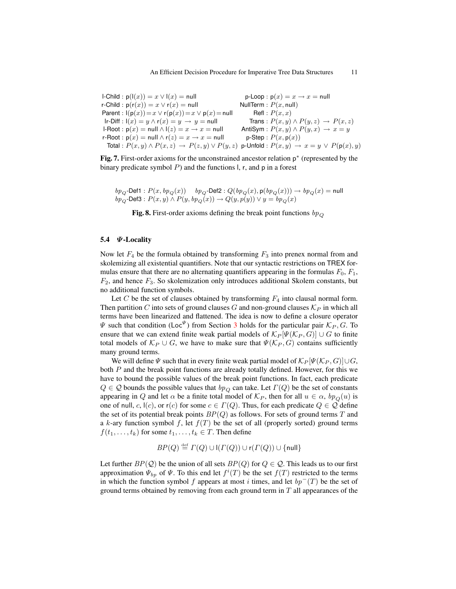l-Child :  $p(1(x)) = x \vee (x) = null$  p-Loop :  $p(x) = x \rightarrow x = null$ r-Child :  $p(r(x)) = x \vee r(x) = null$  NullTerm :  $P(x, null)$ Parent :  $\mathsf{l}(p(x))=x \lor r(p(x))=x \lor p(x)=\mathsf{null}$  Refl :  $P(x,x)$  $\text{Ir-Diff} : \mathsf{I}(x) = y \land \mathsf{r}(x) = y \rightarrow y = \text{null}$  Trans :  $P(x, y) \land P(y, z) \rightarrow P(x, z)$ l-Root :  $p(x) = \text{null} \land I(z) = x \rightarrow x = \text{null}$  AntiSym :  $P(x, y) \land P(y, x) \rightarrow x = y$ r-Root :  $p(x) = null \wedge r(z) = x \rightarrow x = null$  p-Step :  $P(x, p(x))$ Total :  $P(x, y) \wedge P(x, z) \rightarrow P(z, y) \vee P(y, z)$  p-Unfold :  $P(x, y) \rightarrow x = y \vee P(p(x), y)$ 

<span id="page-10-1"></span>Fig. 7. First-order axioms for the unconstrained ancestor relation  $p^*$  (represented by the binary predicate symbol  $P$ ) and the functions l, r, and p in a forest

$$
\begin{array}{ll} bp_Q\text{-}\text{Def1}:P(x,bp_Q(x))&bp_Q\text{-}\text{Def2}:Q(bp_Q(x),\mathsf{p}(bp_Q(x)))\rightarrow bp_Q(x)=\text{null}\\ bp_Q\text{-}\text{Def3}:P(x,y)\wedge P(y,bp_Q(x))\rightarrow Q(y,p(y))\vee y=bp_Q(x) \end{array}
$$

<span id="page-10-2"></span>Fig. 8. First-order axioms defining the break point functions  $bp<sub>O</sub>$ 

### <span id="page-10-0"></span>5.4 Ψ-Locality

Now let  $F_4$  be the formula obtained by transforming  $F_3$  into prenex normal from and skolemizing all existential quantifiers. Note that our syntactic restrictions on TREX formulas ensure that there are no alternating quantifiers appearing in the formulas  $F_0$ ,  $F_1$ ,  $F_2$ , and hence  $F_3$ . So skolemization only introduces additional Skolem constants, but no additional function symbols.

Let  $C$  be the set of clauses obtained by transforming  $F_4$  into clausal normal form. Then partition C into sets of ground clauses G and non-ground clauses  $\mathcal{K}_P$  in which all terms have been linearized and flattened. The idea is now to define a closure operator *Ψ* such that condition (Loc<sup> $\Psi$ </sup>) from Section [3](#page-4-1) holds for the particular pair  $\mathcal{K}_P$ , *G*. To ensure that we can extend finite weak partial models of  $\mathcal{K}_P[\Psi(\mathcal{K}_P, G)] \cup G$  to finite total models of  $\mathcal{K}_P \cup G$ , we have to make sure that  $\Psi(\mathcal{K}_P, G)$  contains sufficiently many ground terms.

We will define  $\Psi$  such that in every finite weak partial model of  $\mathcal{K}_P[\Psi(\mathcal{K}_P, G)] \cup G$ , both  $P$  and the break point functions are already totally defined. However, for this we have to bound the possible values of the break point functions. In fact, each predicate  $Q \in \mathcal{Q}$  bounds the possible values that  $bp_Q$  can take. Let  $\Gamma(Q)$  be the set of constants appearing in Q and let  $\alpha$  be a finite total model of  $\mathcal{K}_P$ , then for all  $u \in \alpha$ ,  $bp_Q(u)$  is one of null, c,  $I(c)$ , or  $r(c)$  for some  $c \in \Gamma(Q)$ . Thus, for each predicate  $Q \in \mathcal{Q}$  define the set of its potential break points  $BP(Q)$  as follows. For sets of ground terms T and a k-ary function symbol f, let  $f(T)$  be the set of all (properly sorted) ground terms  $f(t_1, \ldots, t_k)$  for some  $t_1, \ldots, t_k \in T$ . Then define

$$
BP(Q) \stackrel{\text{def}}{=} \Gamma(Q) \cup I(\Gamma(Q)) \cup r(\Gamma(Q)) \cup \{\text{null}\}
$$

Let further  $BP(Q)$  be the union of all sets  $BP(Q)$  for  $Q \in Q$ . This leads us to our first approximation  $\Psi_{bp}$  of  $\Psi$ . To this end let  $f^i(T)$  be the set  $f(T)$  restricted to the terms in which the function symbol f appears at most i times, and let  $bp^-(T)$  be the set of ground terms obtained by removing from each ground term in  $T$  all appearances of the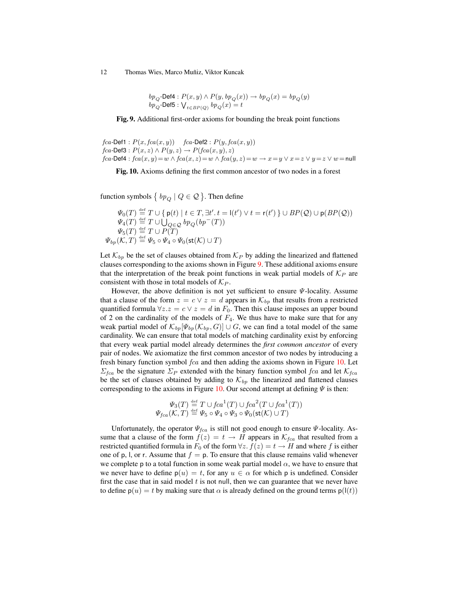$bp_Q\text{-}\mathsf{Def4}: P(x,y) \land P(y,bp_Q(x)) \to bp_Q(x) = bp_Q(y)$  $bp_Q$ -Def5 :  $\bigvee_{t\in BP(Q)}\,bp_Q(x)=t$ 

<span id="page-11-0"></span>Fig. 9. Additional first-order axioms for bounding the break point functions

 $fca\text{-Def1}: P(x, fca(x, y))$   $fca\text{-Def2}: P(y, fca(x, y))$  $fca$ -Def3 :  $P(x, z) \wedge P(y, z) \rightarrow P(fca(x, y), z)$  $fca$ -Def4 :  $fca(x, y) = w \wedge fca(x, z) = w \wedge fca(y, z) = w \rightarrow x = y \vee x = z \vee y = z \vee w = \text{null}$ 

<span id="page-11-1"></span>Fig. 10. Axioms defining the first common ancestor of two nodes in a forest

function symbols  $\set{bp_Q | Q \in \mathcal{Q}}$ . Then define

$$
\begin{array}{l} \varPsi_0(T) \stackrel{\mbox{\tiny def}}{=} T \cup \{\,{\sf p}(t) \mid t \in T, \exists t'. \, t = {\sf I}(t') \vee t = {\sf r}(t')\,\} \cup BP({\cal Q}) \cup {\sf p}(BP({\cal Q}))\\ \varPsi_4(T) \stackrel{\mbox{\tiny def}}{=} T \cup \bigcup_{Q \in {\cal Q}} bp_Q(bp^-(T))\\ \varPsi_5(T) \stackrel{\mbox{\tiny def}}{=} T \cup P(T)\\ \varPsi_{bp}({\cal K},T) \stackrel{\mbox{\tiny def}}{=} \varPsi_5 \circ \varPsi_4 \circ \varPsi_0({\sf st}({\cal K}) \cup T) \end{array}
$$

Let  $\mathcal{K}_{bp}$  be the set of clauses obtained from  $\mathcal{K}_P$  by adding the linearized and flattened clauses corresponding to the axioms shown in Figure [9.](#page-11-0) These additional axioms ensure that the interpretation of the break point functions in weak partial models of  $\mathcal{K}_P$  are consistent with those in total models of  $K_P$ .

However, the above definition is not yet sufficient to ensure  $\Psi$ -locality. Assume that a clause of the form  $z = c \vee z = d$  appears in  $\mathcal{K}_{bp}$  that results from a restricted quantified formula  $\forall z \cdot z = c \lor z = d$  in  $F_0$ . Then this clause imposes an upper bound of 2 on the cardinality of the models of  $F_4$ . We thus have to make sure that for any weak partial model of  $\mathcal{K}_{bp}[\Psi_{bp}(\mathcal{K}_{bp}, G)] \cup G$ , we can find a total model of the same cardinality. We can ensure that total models of matching cardinality exist by enforcing that every weak partial model already determines the *first common ancestor* of every pair of nodes. We axiomatize the first common ancestor of two nodes by introducing a fresh binary function symbol  $fca$  and then adding the axioms shown in Figure [10.](#page-11-1) Let  $\Sigma_{fca}$  be the signature  $\Sigma_P$  extended with the binary function symbol fca and let  $\mathcal{K}_{fca}$ be the set of clauses obtained by adding to  $\mathcal{K}_{bp}$  the linearized and flattened clauses corresponding to the axioms in Figure [10.](#page-11-1) Our second attempt at defining  $\Psi$  is then:

$$
\Psi_3(T) \stackrel{\text{def}}{=} T \cup fca^1(T) \cup fca^2(T \cup fca^1(T))
$$
  

$$
\Psi_{fca}(\mathcal{K}, T) \stackrel{\text{def}}{=} \Psi_5 \circ \Psi_4 \circ \Psi_3 \circ \Psi_0(\mathsf{st}(\mathcal{K}) \cup T)
$$

Unfortunately, the operator  $\Psi_{fca}$  is still not good enough to ensure  $\Psi$ -locality. Assume that a clause of the form  $f(z) = t \rightarrow H$  appears in  $\mathcal{K}_{fca}$  that resulted from a restricted quantified formula in  $F_0$  of the form  $\forall z$ .  $f(z) = t \rightarrow H$  and where f is either one of p, l, or r. Assume that  $f = p$ . To ensure that this clause remains valid whenever we complete p to a total function in some weak partial model  $\alpha$ , we have to ensure that we never have to define  $p(u) = t$ , for any  $u \in \alpha$  for which p is undefined. Consider first the case that in said model  $t$  is not null, then we can guarantee that we never have to define  $p(u) = t$  by making sure that  $\alpha$  is already defined on the ground terms  $p(l(t))$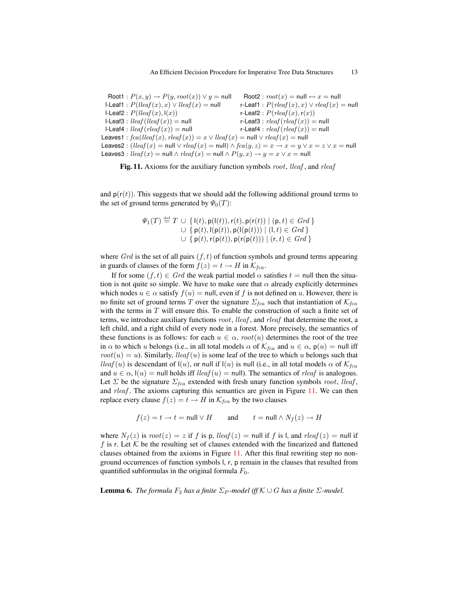```
Root1 : P(x, y) \rightarrow P(y, root(x)) \vee y = null Root2 : root(x) = null \leftrightarrow x = nulll-Leaf1 : P(leaf(x),x) \vee lleaf(x) = null r-Leaf1 : P(relaf(x),x) \vee relaf(x) = null
 l-Leaf2 : P( \text{leaf}(x), \text{I}(x)) r-Leaf2 : P(\text{rel}(x), \text{r}(x))l-Leaf3 : lleaf(lleaf(x)) = null r-Leaf3 : rleaf(rleaf(x)) = nulll-Leaf4: lleaf(\text{relaf}(x)) = \text{null} r-Leaf4: rleaf(\text{relaf}(x)) = \text{null}Leaves1 : fca(leaf(x),\text{rleaf}(x)) = x \vee \text{lleaf}(x) = \text{null} \vee \text{rleaf}(x) = \text{null}Leaves2 : (leaf(x) = null \vee rel(x) = null) \wedge fea(y, z) = x \rightarrow x = y \vee x = z \vee x = nullLeaves3 : \text{leaf}(x) = \text{null} \land \text{rleaf}(x) = \text{null} \land P(y, x) \rightarrow y = x \lor x = \text{null}
```
<span id="page-12-0"></span>

and  $p(r(t))$ . This suggests that we should add the following additional ground terms to the set of ground terms generated by  $\Psi_0(T)$ :

$$
\Psi_1(T) \stackrel{\text{def}}{=} T \cup \{ \mathsf{l}(t), \mathsf{p}(\mathsf{l}(t)), \mathsf{r}(t), \mathsf{p}(\mathsf{r}(t)) \mid (\mathsf{p}, t) \in Grd \} \\ \cup \{ \mathsf{p}(t), \mathsf{l}(\mathsf{p}(t)), \mathsf{p}(\mathsf{l}(\mathsf{p}(t))) \mid (\mathsf{l}, t) \in Grd \} \\ \cup \{ \mathsf{p}(t), \mathsf{r}(\mathsf{p}(t)), \mathsf{p}(\mathsf{r}(\mathsf{p}(t))) \mid (\mathsf{r}, t) \in Grd \}
$$

where  $Grd$  is the set of all pairs  $(f, t)$  of function symbols and ground terms appearing in guards of clauses of the form  $f(z) = t \rightarrow H$  in  $\mathcal{K}_{fca}$ .

If for some  $(f, t) \in Grd$  the weak partial model  $\alpha$  satisfies  $t = \text{null}$  then the situation is not quite so simple. We have to make sure that  $\alpha$  already explicitly determines which nodes  $u \in \alpha$  satisfy  $f(u) = \text{null}$ , even if f is not defined on u. However, there is no finite set of ground terms T over the signature  $\Sigma_{fca}$  such that instantiation of  $\mathcal{K}_{fca}$ with the terms in  $T$  will ensure this. To enable the construction of such a finite set of terms, we introduce auxiliary functions *root*, *lleaf*, and *rleaf* that determine the root, a left child, and a right child of every node in a forest. More precisely, the semantics of these functions is as follows: for each  $u \in \alpha$ , root $(u)$  determines the root of the tree in  $\alpha$  to which u belongs (i.e., in all total models  $\alpha$  of  $\mathcal{K}_{fca}$  and  $u \in \alpha$ ,  $p(u) = \text{null iff}$  $root(u) = u$ ). Similarly,  $lleaf(u)$  is some leaf of the tree to which u belongs such that lleaf (u) is descendant of  $\mathsf{I}(u)$ , or null if  $\mathsf{I}(u)$  is null (i.e., in all total models  $\alpha$  of  $\mathcal{K}_{fca}$ and  $u \in \alpha$ ,  $\mathfrak{l}(u) =$  null holds iff  $\mathfrak{l} \mathfrak{l} \mathfrak{e} \mathfrak{a} \mathfrak{l}(u) =$  null). The semantics of  $\mathfrak{r} \mathfrak{l} \mathfrak{e} \mathfrak{a} \mathfrak{l}$  is analogous. Let  $\Sigma$  be the signature  $\Sigma_{tca}$  extended with fresh unary function symbols root, lleaf, and *rleaf*. The axioms capturing this semantics are given in Figure [11.](#page-12-0) We can then replace every clause  $f(z) = t \rightarrow H$  in  $\mathcal{K}_{fca}$  by the two clauses

$$
f(z) = t \to t = \text{null} \lor H
$$
 and  $t = \text{null} \land N_f(z) \to H$ 

where  $N_f(z)$  is  $root(z) = z$  if f is p,  $lleaf(z) = null$  if f is l, and  $rleaf(z) = null$  if f is r. Let  $K$  be the resulting set of clauses extended with the linearized and flattened clauses obtained from the axioms in Figure [11.](#page-12-0) After this final rewriting step no nonground occurrences of function symbols l, r, p remain in the clauses that resulted from quantified subformulas in the original formula  $F_0$ .

**Lemma 6.** *The formula*  $F_3$  *has a finite*  $\Sigma_P$ *-model iff*  $K \cup G$  *has a finite*  $\Sigma$ *-model.*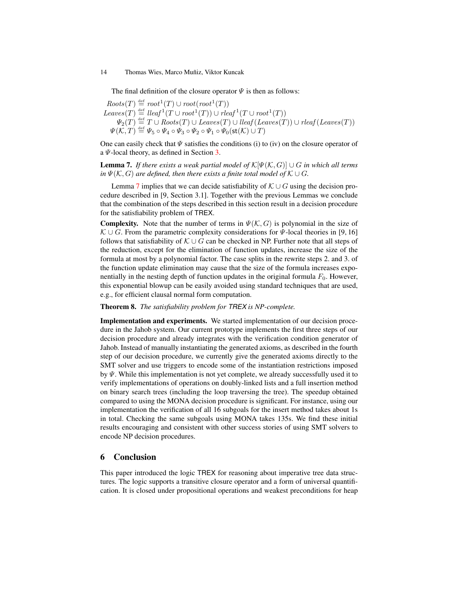The final definition of the closure operator  $\Psi$  is then as follows:

 $Roots(T) \stackrel{\text{def}}{=} root^1(T) \cup root(root^1(T))$ Leaves $(T) \stackrel{\text{def}}{=} \text{lleaf}^1(T \cup \text{root}^1(T)) \cup \text{rleaf}^1(T \cup \text{root}^1(T))$  $\Psi_2(T) \stackrel{\text{def}}{=} T \cup Roots(T) \cup Leaves(T) \cup lleaf(Leaves(T)) \cup relaf(Leaves(T))$  $\Psi(\mathcal{K},T) \stackrel{\text{\tiny def}}{=} \Psi_5 \circ \Psi_4 \circ \Psi_3 \circ \Psi_2 \circ \Psi_1 \circ \Psi_0(\mathsf{st}(\mathcal{K}) \cup T)$ 

One can easily check that  $\Psi$  satisfies the conditions (i) to (iv) on the closure operator of a  $\Psi$ -local theory, as defined in Section [3.](#page-4-1)

<span id="page-13-0"></span>**Lemma 7.** If there exists a weak partial model of  $\mathcal{K}[\Psi(\mathcal{K}, G)] \cup G$  in which all terms *in*  $\Psi(\mathcal{K}, G)$  *are defined, then there exists a finite total model of*  $\mathcal{K} \cup G$ *.* 

Lemma [7](#page-13-0) implies that we can decide satisfiability of  $K \cup G$  using the decision procedure described in [9, Section 3.1]. Together with the previous Lemmas we conclude that the combination of the steps described in this section result in a decision procedure for the satisfiability problem of TREX.

**Complexity.** Note that the number of terms in  $\Psi(K, G)$  is polynomial in the size of K ∪ G. From the parametric complexity considerations for  $\Psi$ -local theories in [9, 16] follows that satisfiability of  $K \cup G$  can be checked in NP. Further note that all steps of the reduction, except for the elimination of function updates, increase the size of the formula at most by a polynomial factor. The case splits in the rewrite steps 2. and 3. of the function update elimination may cause that the size of the formula increases exponentially in the nesting depth of function updates in the original formula  $F_0$ . However, this exponential blowup can be easily avoided using standard techniques that are used, e.g., for efficient clausal normal form computation.

## Theorem 8. *The satisfiability problem for TREX is NP-complete.*

Implementation and experiments. We started implementation of our decision procedure in the Jahob system. Our current prototype implements the first three steps of our decision procedure and already integrates with the verification condition generator of Jahob. Instead of manually instantiating the generated axioms, as described in the fourth step of our decision procedure, we currently give the generated axioms directly to the SMT solver and use triggers to encode some of the instantiation restrictions imposed by  $\Psi$ . While this implementation is not yet complete, we already successfully used it to verify implementations of operations on doubly-linked lists and a full insertion method on binary search trees (including the loop traversing the tree). The speedup obtained compared to using the MONA decision procedure is significant. For instance, using our implementation the verification of all 16 subgoals for the insert method takes about 1s in total. Checking the same subgoals using MONA takes 135s. We find these initial results encouraging and consistent with other success stories of using SMT solvers to encode NP decision procedures.

# 6 Conclusion

This paper introduced the logic TREX for reasoning about imperative tree data structures. The logic supports a transitive closure operator and a form of universal quantification. It is closed under propositional operations and weakest preconditions for heap